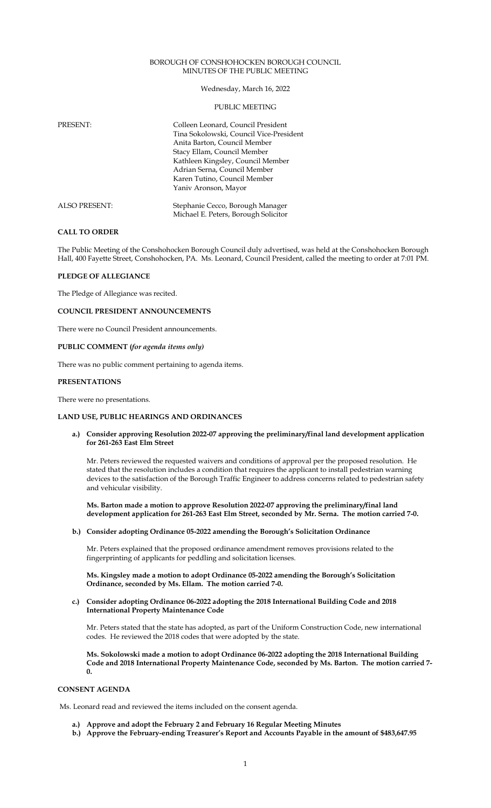### BOROUGH OF CONSHOHOCKEN BOROUGH COUNCIL MINUTES OF THE PUBLIC MEETING

Wednesday, March 16, 2022

### PUBLIC MEETING

| PRESENT:             | Colleen Leonard, Council President<br>Tina Sokolowski, Council Vice-President<br>Anita Barton, Council Member<br>Stacy Ellam, Council Member |
|----------------------|----------------------------------------------------------------------------------------------------------------------------------------------|
|                      | Kathleen Kingsley, Council Member<br>Adrian Serna, Council Member<br>Karen Tutino, Council Member<br>Yaniv Aronson, Mayor                    |
| <b>ALSO PRESENT:</b> | Stephanie Cecco, Borough Manager<br>Michael E. Peters, Borough Solicitor                                                                     |

### **CALL TO ORDER**

The Public Meeting of the Conshohocken Borough Council duly advertised, was held at the Conshohocken Borough Hall, 400 Fayette Street, Conshohocken, PA. Ms. Leonard, Council President, called the meeting to order at 7:01 PM.

### **PLEDGE OF ALLEGIANCE**

The Pledge of Allegiance was recited.

**COUNCIL PRESIDENT ANNOUNCEMENTS** 

There were no Council President announcements.

#### **PUBLIC COMMENT (***for agenda items only)*

There was no public comment pertaining to agenda items.

#### **PRESENTATIONS**

There were no presentations.

#### **LAND USE, PUBLIC HEARINGS AND ORDINANCES**

**a.) Consider approving Resolution 2022-07 approving the preliminary/final land development application for 261-263 East Elm Street**

Mr. Peters reviewed the requested waivers and conditions of approval per the proposed resolution. He stated that the resolution includes a condition that requires the applicant to install pedestrian warning devices to the satisfaction of the Borough Traffic Engineer to address concerns related to pedestrian safety and vehicular visibility.

**Ms. Barton made a motion to approve Resolution 2022-07 approving the preliminary/final land development application for 261-263 East Elm Street, seconded by Mr. Serna. The motion carried 7-0.**

## **b.) Consider adopting Ordinance 05-2022 amending the Borough's Solicitation Ordinance**

Mr. Peters explained that the proposed ordinance amendment removes provisions related to the fingerprinting of applicants for peddling and solicitation licenses.

**Ms. Kingsley made a motion to adopt Ordinance 05-2022 amending the Borough's Solicitation Ordinance, seconded by Ms. Ellam. The motion carried 7-0.**

### **c.) Consider adopting Ordinance 06-2022 adopting the 2018 International Building Code and 2018 International Property Maintenance Code**

Mr. Peters stated that the state has adopted, as part of the Uniform Construction Code, new international codes. He reviewed the 2018 codes that were adopted by the state.

**Ms. Sokolowski made a motion to adopt Ordinance 06-2022 adopting the 2018 International Building Code and 2018 International Property Maintenance Code, seconded by Ms. Barton. The motion carried 7- 0.**

#### **CONSENT AGENDA**

Ms. Leonard read and reviewed the items included on the consent agenda.

- **a.) Approve and adopt the February 2 and February 16 Regular Meeting Minutes**
- **b.) Approve the February-ending Treasurer's Report and Accounts Payable in the amount of \$483,647.95**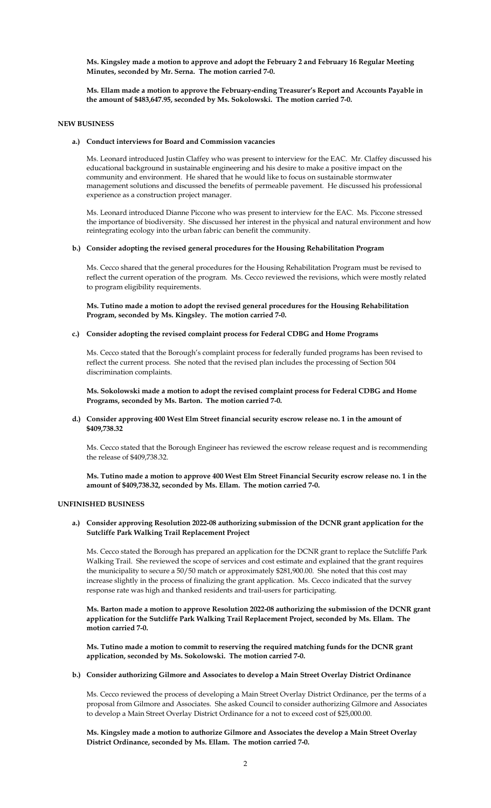**Ms. Kingsley made a motion to approve and adopt the February 2 and February 16 Regular Meeting Minutes, seconded by Mr. Serna. The motion carried 7-0.** 

**Ms. Ellam made a motion to approve the February-ending Treasurer's Report and Accounts Payable in the amount of \$483,647.95, seconded by Ms. Sokolowski. The motion carried 7-0.**

### **NEW BUSINESS**

## **a.) Conduct interviews for Board and Commission vacancies**

Ms. Leonard introduced Justin Claffey who was present to interview for the EAC. Mr. Claffey discussed his educational background in sustainable engineering and his desire to make a positive impact on the community and environment. He shared that he would like to focus on sustainable stormwater management solutions and discussed the benefits of permeable pavement. He discussed his professional experience as a construction project manager.

Ms. Leonard introduced Dianne Piccone who was present to interview for the EAC. Ms. Piccone stressed the importance of biodiversity. She discussed her interest in the physical and natural environment and how reintegrating ecology into the urban fabric can benefit the community.

### **b.) Consider adopting the revised general procedures for the Housing Rehabilitation Program**

Ms. Cecco shared that the general procedures for the Housing Rehabilitation Program must be revised to reflect the current operation of the program. Ms. Cecco reviewed the revisions, which were mostly related to program eligibility requirements.

**Ms. Tutino made a motion to adopt the revised general procedures for the Housing Rehabilitation Program, seconded by Ms. Kingsley. The motion carried 7-0.**

## **c.) Consider adopting the revised complaint process for Federal CDBG and Home Programs**

Ms. Cecco stated that the Borough's complaint process for federally funded programs has been revised to reflect the current process. She noted that the revised plan includes the processing of Section 504 discrimination complaints.

**Ms. Sokolowski made a motion to adopt the revised complaint process for Federal CDBG and Home Programs, seconded by Ms. Barton. The motion carried 7-0.**

### **d.) Consider approving 400 West Elm Street financial security escrow release no. 1 in the amount of \$409,738.32**

Ms. Cecco stated that the Borough Engineer has reviewed the escrow release request and is recommending the release of \$409,738.32.

**Ms. Tutino made a motion to approve 400 West Elm Street Financial Security escrow release no. 1 in the amount of \$409,738.32, seconded by Ms. Ellam. The motion carried 7-0.**

#### **UNFINISHED BUSINESS**

**a.) Consider approving Resolution 2022-08 authorizing submission of the DCNR grant application for the Sutcliffe Park Walking Trail Replacement Project** 

Ms. Cecco stated the Borough has prepared an application for the DCNR grant to replace the Sutcliffe Park Walking Trail. She reviewed the scope of services and cost estimate and explained that the grant requires the municipality to secure a 50/50 match or approximately \$281,900.00. She noted that this cost may increase slightly in the process of finalizing the grant application. Ms. Cecco indicated that the survey response rate was high and thanked residents and trail-users for participating.

**Ms. Barton made a motion to approve Resolution 2022-08 authorizing the submission of the DCNR grant application for the Sutcliffe Park Walking Trail Replacement Project, seconded by Ms. Ellam. The motion carried 7-0.**

**Ms. Tutino made a motion to commit to reserving the required matching funds for the DCNR grant application, seconded by Ms. Sokolowski. The motion carried 7-0.** 

### **b.) Consider authorizing Gilmore and Associates to develop a Main Street Overlay District Ordinance**

Ms. Cecco reviewed the process of developing a Main Street Overlay District Ordinance, per the terms of a proposal from Gilmore and Associates. She asked Council to consider authorizing Gilmore and Associates to develop a Main Street Overlay District Ordinance for a not to exceed cost of \$25,000.00.

**Ms. Kingsley made a motion to authorize Gilmore and Associates the develop a Main Street Overlay District Ordinance, seconded by Ms. Ellam. The motion carried 7-0.**